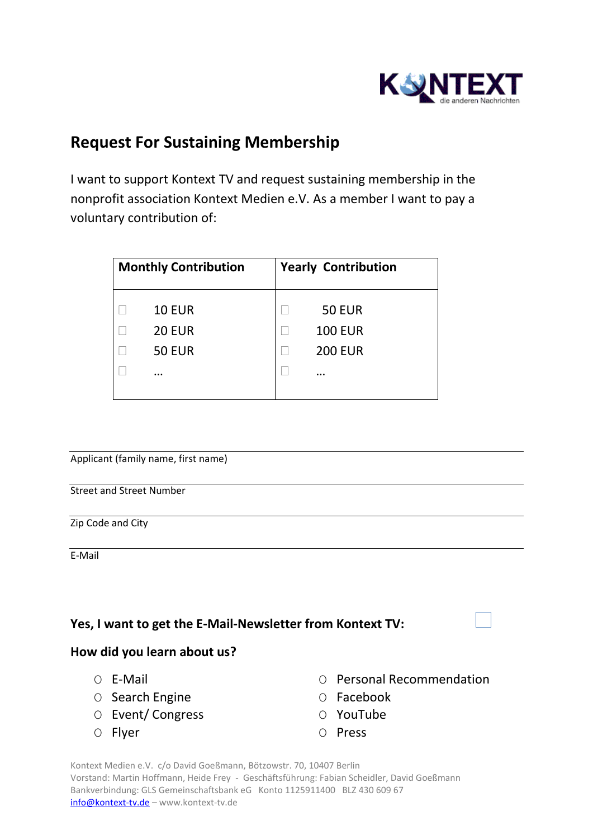

## **Request For Sustaining Membership**

I want to support Kontext TV and request sustaining membership in the nonprofit association Kontext Medien e.V. As a member I want to pay a voluntary contribution of:

| <b>Monthly Contribution</b> |                                                             | <b>Yearly Contribution</b>                            |  |
|-----------------------------|-------------------------------------------------------------|-------------------------------------------------------|--|
|                             | <b>10 EUR</b><br><b>20 EUR</b><br><b>50 EUR</b><br>$\cdots$ | <b>50 EUR</b><br><b>100 EUR</b><br><b>200 EUR</b><br> |  |

Applicant (family name, first name)

Street and Street Number

Zip Code and City

E-Mail

## **Yes, I want to get the E-Mail-Newsletter from Kontext TV:**

## **How did you learn about us?**

- 
- O Search Engine **O** Facebook
- O Event/ Congress O YouTube
- 
- О E-Mail О Personal Recommendation
	-
	-
- O Flyer O Press

Kontext Medien e.V. c/o David Goeßmann, Bötzowstr. 70, 10407 Berlin Vorstand: Martin Hoffmann, Heide Frey - Geschäftsführung: Fabian Scheidler, David Goeßmann Bankverbindung: GLS Gemeinschaftsbank eG Konto 1125911400 BLZ 430 609 67 [info@kontext-tv.de](mailto:info@kontext-tv.de) – www.kontext-tv.de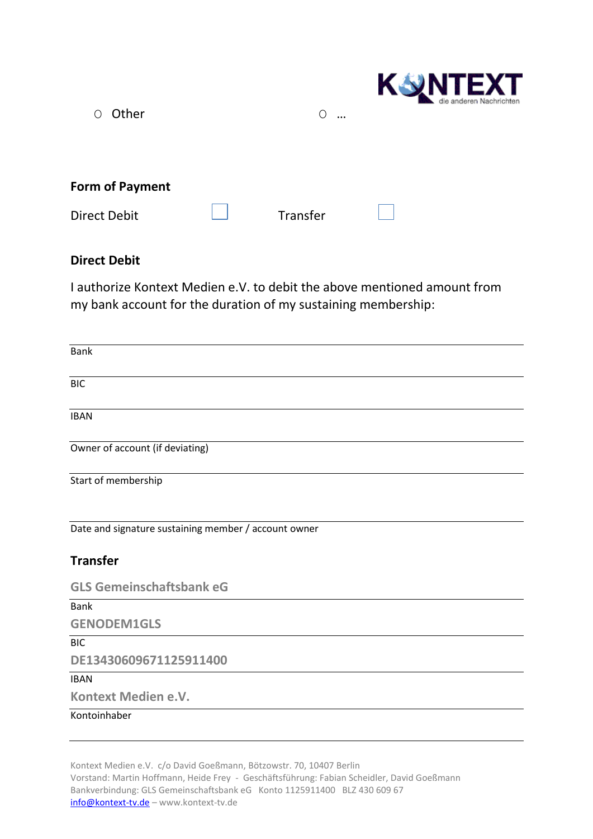| Other<br>∩             | $\circ$<br>$\ddotsc$ | <b>UNTEXT</b><br>die anderen Nachrichten |
|------------------------|----------------------|------------------------------------------|
| <b>Form of Payment</b> |                      |                                          |
| Direct Debit           | Transfer             |                                          |

## **Direct Debit**

I authorize Kontext Medien e.V. to debit the above mentioned amount from my bank account for the duration of my sustaining membership:

| <b>Bank</b>                                          |
|------------------------------------------------------|
| <b>BIC</b>                                           |
| <b>IBAN</b>                                          |
| Owner of account (if deviating)                      |
| Start of membership                                  |
| Date and signature sustaining member / account owner |
| <b>Transfer</b>                                      |
| <b>GLS Gemeinschaftsbank eG</b>                      |
| <b>Bank</b>                                          |
| <b>GENODEM1GLS</b>                                   |
| <b>BIC</b>                                           |
| DE13430609671125911400                               |
| <b>IBAN</b>                                          |
| Kontext Medien e.V.                                  |
| Kontoinhaber                                         |